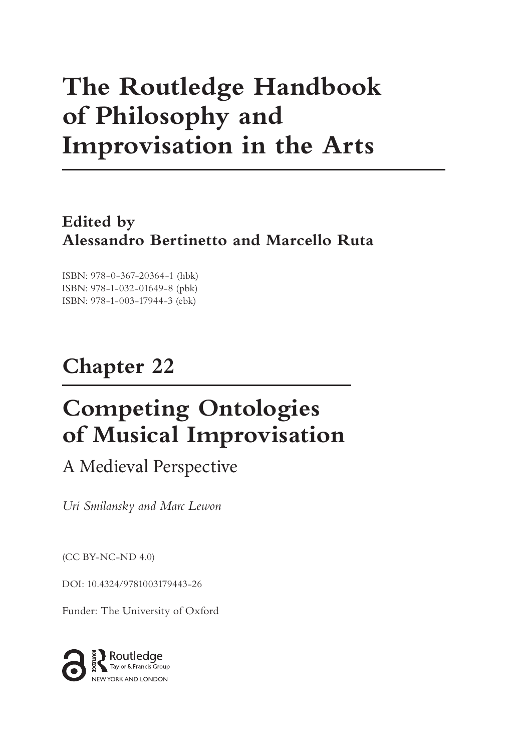# **The Routledge Handbook of Philosophy and Improvisation in the Arts**

**Edited by Alessandro Bertinetto and Marcello Ruta**

ISBN: 978-0-367-20364-1 (hbk) ISBN: 978-1-032-01649-8 (pbk) ISBN: 978-1-003-17944-3 (ebk)

# **Chapter 22**

# **Competing Ontologies of Musical Improvisation**

A Medieval Perspective

*Uri Smilansky and Marc Lewon*

(CC BY-NC-ND 4.0)

[DOI: 10.4324/9781003179443-26](https://doi.org/10.4324/9781003179443-26)

Funder: The University of Oxford

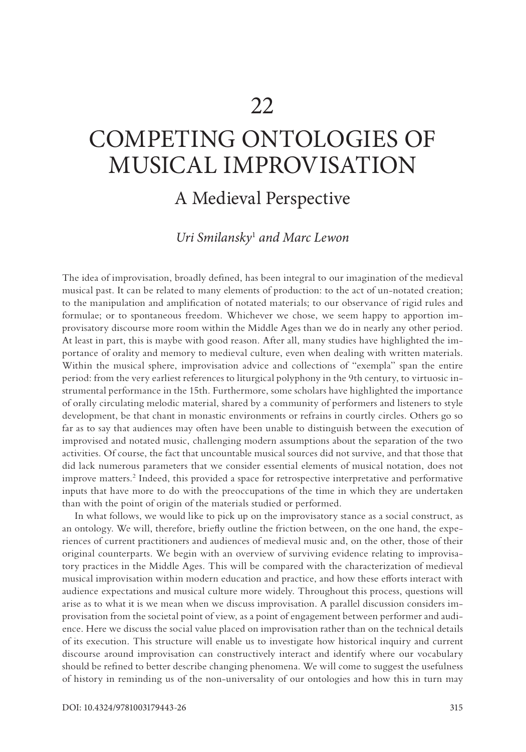# <span id="page-1-0"></span>COMPETING ONTOLOGIES OF MUSICAL IMPROVISATION

# A Medieval Perspective

# *Uri Smilansky*[1](#page-11-0)  *and Marc Lewon*

The idea of improvisation, broadly defined, has been integral to our imagination of the medieval musical past. It can be related to many elements of production: to the act of un-notated creation; to the manipulation and amplification of notated materials; to our observance of rigid rules and formulae; or to spontaneous freedom. Whichever we chose, we seem happy to apportion improvisatory discourse more room within the Middle Ages than we do in nearly any other period. At least in part, this is maybe with good reason. After all, many studies have highlighted the importance of orality and memory to medieval culture, even when dealing with written materials. Within the musical sphere, improvisation advice and collections of "exempla" span the entire period: from the very earliest references to liturgical polyphony in the 9th century, to virtuosic instrumental performance in the 15th. Furthermore, some scholars have highlighted the importance of orally circulating melodic material, shared by a community of performers and listeners to style development, be that chant in monastic environments or refrains in courtly circles. Others go so far as to say that audiences may often have been unable to distinguish between the execution of improvised and notated music, challenging modern assumptions about the separation of the two activities. Of course, the fact that uncountable musical sources did not survive, and that those that did lack numerous parameters that we consider essential elements of musical notation, does not improve matters[.2](#page-11-0) Indeed, this provided a space for retrospective interpretative and performative inputs that have more to do with the preoccupations of the time in which they are undertaken than with the point of origin of the materials studied or performed.

In what follows, we would like to pick up on the improvisatory stance as a social construct, as an ontology. We will, therefore, briefly outline the friction between, on the one hand, the experiences of current practitioners and audiences of medieval music and, on the other, those of their original counterparts. We begin with an overview of surviving evidence relating to improvisatory practices in the Middle Ages. This will be compared with the characterization of medieval musical improvisation within modern education and practice, and how these efforts interact with audience expectations and musical culture more widely. Throughout this process, questions will arise as to what it is we mean when we discuss improvisation. A parallel discussion considers improvisation from the societal point of view, as a point of engagement between performer and audience. Here we discuss the social value placed on improvisation rather than on the technical details of its execution. This structure will enable us to investigate how historical inquiry and current discourse around improvisation can constructively interact and identify where our vocabulary should be refined to better describe changing phenomena. We will come to suggest the usefulness of history in reminding us of the non-universality of our ontologies and how this in turn may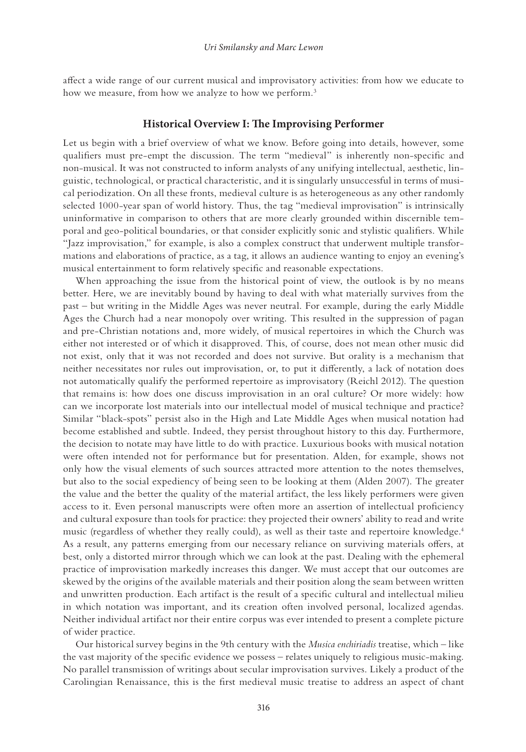<span id="page-2-0"></span>affect a wide range of our current musical and improvisatory activities: from how we educate to how we measure, from how we analyze to how we perform.<sup>3</sup>

## **Historical Overview I: The Improvising Performer**

Let us begin with a brief overview of what we know. Before going into details, however, some qualifiers must pre-empt the discussion. The term "medieval" is inherently non-specific and non-musical. It was not constructed to inform analysts of any unifying intellectual, aesthetic, linguistic, technological, or practical characteristic, and it is singularly unsuccessful in terms of musical periodization. On all these fronts, medieval culture is as heterogeneous as any other randomly selected 1000-year span of world history. Thus, the tag "medieval improvisation" is intrinsically uninformative in comparison to others that are more clearly grounded within discernible temporal and geo-political boundaries, or that consider explicitly sonic and stylistic qualifiers. While "Jazz improvisation," for example, is also a complex construct that underwent multiple transformations and elaborations of practice, as a tag, it allows an audience wanting to enjoy an evening's musical entertainment to form relatively specific and reasonable expectations.

When approaching the issue from the historical point of view, the outlook is by no means better. Here, we are inevitably bound by having to deal with what materially survives from the past – but writing in the Middle Ages was never neutral. For example, during the early Middle Ages the Church had a near monopoly over writing. This resulted in the suppression of pagan and pre-Christian notations and, more widely, of musical repertoires in which the Church was either not interested or of which it disapproved. This, of course, does not mean other music did not exist, only that it was not recorded and does not survive. But orality is a mechanism that neither necessitates nor rules out improvisation, or, to put it differently, a lack of notation does not automatically qualify the performed repertoire as improvisatory (Reichl 2012). The question that remains is: how does one discuss improvisation in an oral culture? Or more widely: how can we incorporate lost materials into our intellectual model of musical technique and practice? Similar "black-spots" persist also in the High and Late Middle Ages when musical notation had become established and subtle. Indeed, they persist throughout history to this day. Furthermore, the decision to notate may have little to do with practice. Luxurious books with musical notation were often intended not for performance but for presentation. Alden, for example, shows not only how the visual elements of such sources attracted more attention to the notes themselves, but also to the social expediency of being seen to be looking at them (Alden 2007). The greater the value and the better the quality of the material artifact, the less likely performers were given access to it. Even personal manuscripts were often more an assertion of intellectual proficiency and cultural exposure than tools for practice: they projected their owners' ability to read and write music (regardless of whether they really could), as well as their taste and repertoire knowledge.<sup>4</sup> As a result, any patterns emerging from our necessary reliance on surviving materials offers, at best, only a distorted mirror through which we can look at the past. Dealing with the ephemeral practice of improvisation markedly increases this danger. We must accept that our outcomes are skewed by the origins of the available materials and their position along the seam between written and unwritten production. Each artifact is the result of a specific cultural and intellectual milieu in which notation was important, and its creation often involved personal, localized agendas. Neither individual artifact nor their entire corpus was ever intended to present a complete picture of wider practice.

Our historical survey begins in the 9th century with the *Musica enchiriadis* treatise, which – like the vast majority of the specific evidence we possess – relates uniquely to religious music-making. No parallel transmission of writings about secular improvisation survives. Likely a product of the Carolingian Renaissance, this is the first medieval music treatise to address an aspect of chant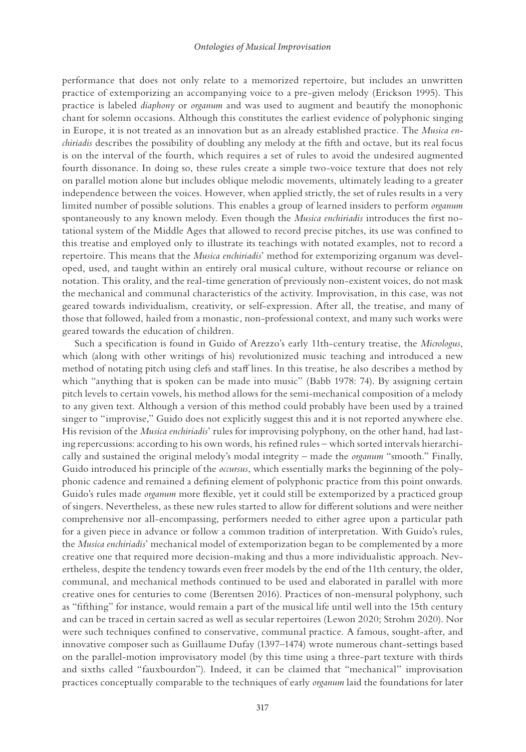performance that does not only relate to a memorized repertoire, but includes an unwritten practice of extemporizing an accompanying voice to a pre-given melody (Erickson 1995). This practice is labeled *diaphony* or *organum* and was used to augment and beautify the monophonic chant for solemn occasions. Although this constitutes the earliest evidence of polyphonic singing in Europe, it is not treated as an innovation but as an already established practice. The *Musica enchiriadis* describes the possibility of doubling any melody at the fifth and octave, but its real focus is on the interval of the fourth, which requires a set of rules to avoid the undesired augmented fourth dissonance. In doing so, these rules create a simple two-voice texture that does not rely on parallel motion alone but includes oblique melodic movements, ultimately leading to a greater independence between the voices. However, when applied strictly, the set of rules results in a very limited number of possible solutions. This enables a group of learned insiders to perform *organum* spontaneously to any known melody. Even though the *Musica enchiriadis* introduces the first notational system of the Middle Ages that allowed to record precise pitches, its use was confined to this treatise and employed only to illustrate its teachings with notated examples, not to record a repertoire. This means that the *Musica enchiriadis*' method for extemporizing organum was developed, used, and taught within an entirely oral musical culture, without recourse or reliance on notation. This orality, and the real-time generation of previously non-existent voices, do not mask the mechanical and communal characteristics of the activity. Improvisation, in this case, was not geared towards individualism, creativity, or self-expression. After all, the treatise, and many of those that followed, hailed from a monastic, non-professional context, and many such works were geared towards the education of children.

Such a specification is found in Guido of Arezzo's early 11th-century treatise, the *Micrologus*, which (along with other writings of his) revolutionized music teaching and introduced a new method of notating pitch using clefs and staff lines. In this treatise, he also describes a method by which "anything that is spoken can be made into music" (Babb 1978: 74). By assigning certain pitch levels to certain vowels, his method allows for the semi-mechanical composition of a melody to any given text. Although a version of this method could probably have been used by a trained singer to "improvise," Guido does not explicitly suggest this and it is not reported anywhere else. His revision of the *Musica enchiriadis*' rules for improvising polyphony, on the other hand, had lasting repercussions: according to his own words, his refined rules – which sorted intervals hierarchically and sustained the original melody's modal integrity – made the *organum* "smooth." Finally, Guido introduced his principle of the *occursus*, which essentially marks the beginning of the polyphonic cadence and remained a defining element of polyphonic practice from this point onwards. Guido's rules made *organum* more flexible, yet it could still be extemporized by a practiced group of singers. Nevertheless, as these new rules started to allow for different solutions and were neither comprehensive nor all-encompassing, performers needed to either agree upon a particular path for a given piece in advance or follow a common tradition of interpretation. With Guido's rules, the *Musica enchiriadis*' mechanical model of extemporization began to be complemented by a more creative one that required more decision-making and thus a more individualistic approach. Nevertheless, despite the tendency towards even freer models by the end of the 11th century, the older, communal, and mechanical methods continued to be used and elaborated in parallel with more creative ones for centuries to come (Berentsen 2016). Practices of non-mensural polyphony, such as "fifthing" for instance, would remain a part of the musical life until well into the 15th century and can be traced in certain sacred as well as secular repertoires (Lewon 2020; Strohm 2020). Nor were such techniques confined to conservative, communal practice. A famous, sought-after, and innovative composer such as Guillaume Dufay (1397–1474) wrote numerous chant-settings based on the parallel-motion improvisatory model (by this time using a three-part texture with thirds and sixths called "fauxbourdon"). Indeed, it can be claimed that "mechanical" improvisation practices conceptually comparable to the techniques of early *organum* laid the foundations for later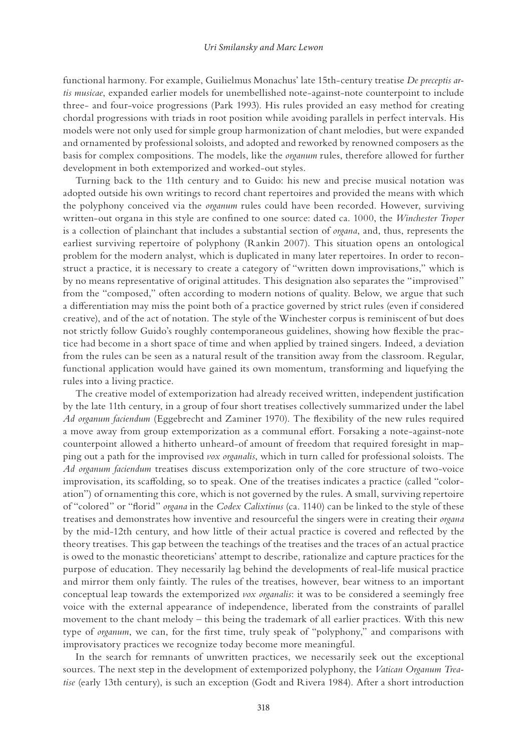functional harmony. For example, Guilielmus Monachus' late 15th-century treatise *De preceptis artis musicae*, expanded earlier models for unembellished note-against-note counterpoint to include three- and four-voice progressions (Park 1993). His rules provided an easy method for creating chordal progressions with triads in root position while avoiding parallels in perfect intervals. His models were not only used for simple group harmonization of chant melodies, but were expanded and ornamented by professional soloists, and adopted and reworked by renowned composers as the basis for complex compositions. The models, like the *organum* rules, therefore allowed for further development in both extemporized and worked-out styles.

Turning back to the 11th century and to Guido: his new and precise musical notation was adopted outside his own writings to record chant repertoires and provided the means with which the polyphony conceived via the *organum* rules could have been recorded. However, surviving written-out organa in this style are confined to one source: dated ca. 1000, the *Winchester Troper* is a collection of plainchant that includes a substantial section of *organa*, and, thus, represents the earliest surviving repertoire of polyphony (Rankin 2007). This situation opens an ontological problem for the modern analyst, which is duplicated in many later repertoires. In order to reconstruct a practice, it is necessary to create a category of "written down improvisations," which is by no means representative of original attitudes. This designation also separates the "improvised" from the "composed," often according to modern notions of quality. Below, we argue that such a differentiation may miss the point both of a practice governed by strict rules (even if considered creative), and of the act of notation. The style of the Winchester corpus is reminiscent of but does not strictly follow Guido's roughly contemporaneous guidelines, showing how flexible the practice had become in a short space of time and when applied by trained singers. Indeed, a deviation from the rules can be seen as a natural result of the transition away from the classroom. Regular, functional application would have gained its own momentum, transforming and liquefying the rules into a living practice.

The creative model of extemporization had already received written, independent justification by the late 11th century, in a group of four short treatises collectively summarized under the label *Ad organum faciendum* (Eggebrecht and Zaminer 1970). The flexibility of the new rules required a move away from group extemporization as a communal effort. Forsaking a note-against-note counterpoint allowed a hitherto unheard-of amount of freedom that required foresight in mapping out a path for the improvised *vox organalis*, which in turn called for professional soloists. The *Ad organum faciendum* treatises discuss extemporization only of the core structure of two-voice improvisation, its scaffolding, so to speak. One of the treatises indicates a practice (called "coloration") of ornamenting this core, which is not governed by the rules. A small, surviving repertoire of "colored" or "florid" *organa* in the *Codex Calixtinus* (ca. 1140) can be linked to the style of these treatises and demonstrates how inventive and resourceful the singers were in creating their *organa* by the mid-12th century, and how little of their actual practice is covered and reflected by the theory treatises. This gap between the teachings of the treatises and the traces of an actual practice is owed to the monastic theoreticians' attempt to describe, rationalize and capture practices for the purpose of education. They necessarily lag behind the developments of real-life musical practice and mirror them only faintly. The rules of the treatises, however, bear witness to an important conceptual leap towards the extemporized *vox organalis*: it was to be considered a seemingly free voice with the external appearance of independence, liberated from the constraints of parallel movement to the chant melody – this being the trademark of all earlier practices. With this new type of *organum*, we can, for the first time, truly speak of "polyphony," and comparisons with improvisatory practices we recognize today become more meaningful.

In the search for remnants of unwritten practices, we necessarily seek out the exceptional sources. The next step in the development of extemporized polyphony, the *Vatican Organum Treatise* (early 13th century), is such an exception (Godt and Rivera 1984). After a short introduction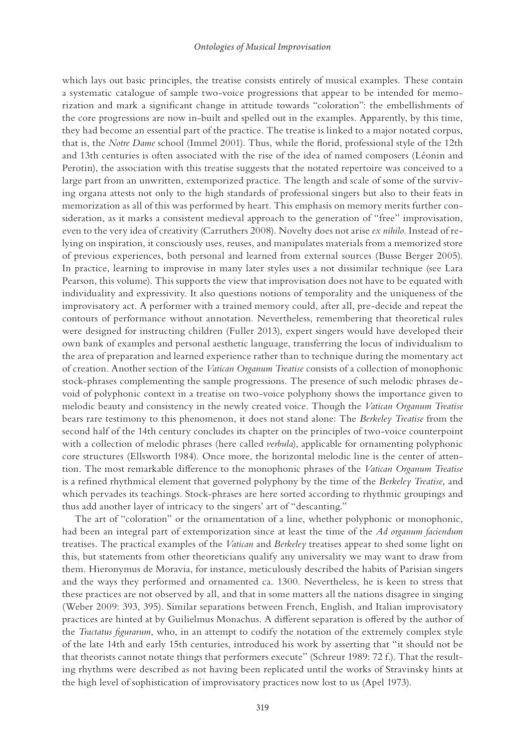#### *Ontologies of Musical Improvisation*

which lays out basic principles, the treatise consists entirely of musical examples. These contain a systematic catalogue of sample two-voice progressions that appear to be intended for memorization and mark a significant change in attitude towards "coloration": the embellishments of the core progressions are now in-built and spelled out in the examples. Apparently, by this time, they had become an essential part of the practice. The treatise is linked to a major notated corpus, that is, the *Notre Dame* school (Immel 2001). Thus, while the florid, professional style of the 12th and 13th centuries is often associated with the rise of the idea of named composers (Léonin and Perotin), the association with this treatise suggests that the notated repertoire was conceived to a large part from an unwritten, extemporized practice. The length and scale of some of the surviving organa attests not only to the high standards of professional singers but also to their feats in memorization as all of this was performed by heart. This emphasis on memory merits further consideration, as it marks a consistent medieval approach to the generation of "free" improvisation, even to the very idea of creativity (Carruthers 2008). Novelty does not arise *ex nihilo*. Instead of relying on inspiration, it consciously uses, reuses, and manipulates materials from a memorized store of previous experiences, both personal and learned from external sources (Busse Berger 2005). In practice, learning to improvise in many later styles uses a not dissimilar technique (see Lara Pearson, this volume). This supports the view that improvisation does not have to be equated with individuality and expressivity. It also questions notions of temporality and the uniqueness of the improvisatory act. A performer with a trained memory could, after all, pre-decide and repeat the contours of performance without annotation. Nevertheless, remembering that theoretical rules were designed for instructing children (Fuller 2013), expert singers would have developed their own bank of examples and personal aesthetic language, transferring the locus of individualism to the area of preparation and learned experience rather than to technique during the momentary act of creation. Another section of the *Vatican Organum Treatise* consists of a collection of monophonic stock-phrases complementing the sample progressions. The presence of such melodic phrases devoid of polyphonic context in a treatise on two-voice polyphony shows the importance given to melodic beauty and consistency in the newly created voice. Though the *Vatican Organum Treatise* bears rare testimony to this phenomenon, it does not stand alone: The *Berkeley Treatise* from the second half of the 14th century concludes its chapter on the principles of two-voice counterpoint with a collection of melodic phrases (here called *verbula*), applicable for ornamenting polyphonic core structures (Ellsworth 1984). Once more, the horizontal melodic line is the center of attention. The most remarkable difference to the monophonic phrases of the *Vatican Organum Treatise* is a refined rhythmical element that governed polyphony by the time of the *Berkeley Treatise,* and which pervades its teachings. Stock-phrases are here sorted according to rhythmic groupings and thus add another layer of intricacy to the singers' art of "descanting."

The art of "coloration" or the ornamentation of a line, whether polyphonic or monophonic, had been an integral part of extemporization since at least the time of the *Ad organum faciendum* treatises. The practical examples of the *Vatican* and *Berkeley* treatises appear to shed some light on this, but statements from other theoreticians qualify any universality we may want to draw from them. Hieronymus de Moravia, for instance, meticulously described the habits of Parisian singers and the ways they performed and ornamented ca. 1300. Nevertheless, he is keen to stress that these practices are not observed by all, and that in some matters all the nations disagree in singing (Weber 2009: 393, 395). Similar separations between French, English, and Italian improvisatory practices are hinted at by Guilielmus Monachus. A different separation is offered by the author of the *Tractatus figurarum*, who, in an attempt to codify the notation of the extremely complex style of the late 14th and early 15th centuries, introduced his work by asserting that "it should not be that theorists cannot notate things that performers execute" (Schreur 1989: 72 f.). That the resulting rhythms were described as not having been replicated until the works of Stravinsky hints at the high level of sophistication of improvisatory practices now lost to us (Apel 1973).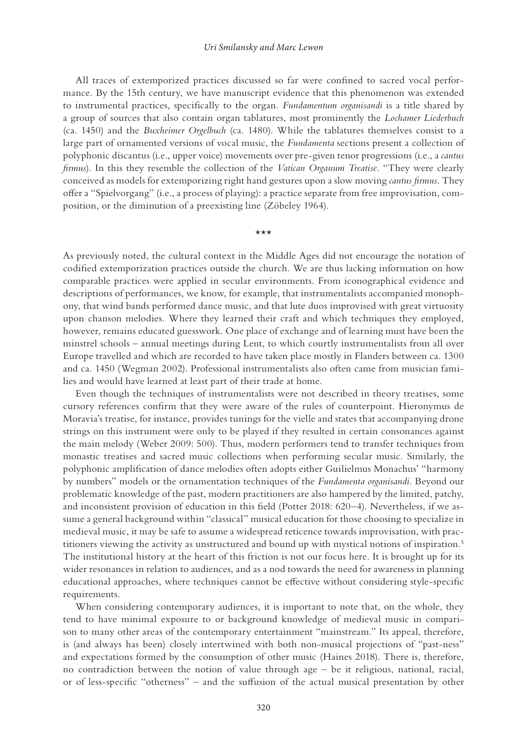#### *Uri Smilansky and Marc Lewon*

<span id="page-6-0"></span>All traces of extemporized practices discussed so far were confined to sacred vocal performance. By the 15th century, we have manuscript evidence that this phenomenon was extended to instrumental practices, specifically to the organ. *Fundamentum organisandi* is a title shared by a group of sources that also contain organ tablatures, most prominently the *Lochamer Liederbuch* (ca. 1450) and the *Buxheimer Orgelbuch* (ca. 1480). While the tablatures themselves consist to a large part of ornamented versions of vocal music, the *Fundamenta* sections present a collection of polyphonic discantus (i.e., upper voice) movements over pre-given tenor progressions (i.e., a *cantus firmus*). In this they resemble the collection of the *Vatican Organum Treatise*. "They were clearly conceived as models for extemporizing right hand gestures upon a slow moving *cantus firmus*. They offer a "Spielvorgang" (i.e., a process of playing): a practice separate from free improvisation, composition, or the diminution of a preexisting line (Zöbeley 1964).

#### \*\*\*

As previously noted, the cultural context in the Middle Ages did not encourage the notation of codified extemporization practices outside the church. We are thus lacking information on how comparable practices were applied in secular environments. From iconographical evidence and descriptions of performances, we know, for example, that instrumentalists accompanied monophony, that wind bands performed dance music, and that lute duos improvised with great virtuosity upon chanson melodies. Where they learned their craft and which techniques they employed, however, remains educated guesswork. One place of exchange and of learning must have been the minstrel schools – annual meetings during Lent, to which courtly instrumentalists from all over Europe travelled and which are recorded to have taken place mostly in Flanders between ca. 1300 and ca. 1450 (Wegman 2002). Professional instrumentalists also often came from musician families and would have learned at least part of their trade at home.

Even though the techniques of instrumentalists were not described in theory treatises, some cursory references confirm that they were aware of the rules of counterpoint. Hieronymus de Moravia's treatise, for instance, provides tunings for the vielle and states that accompanying drone strings on this instrument were only to be played if they resulted in certain consonances against the main melody (Weber 2009: 500). Thus, modern performers tend to transfer techniques from monastic treatises and sacred music collections when performing secular music. Similarly, the polyphonic amplification of dance melodies often adopts either Guilielmus Monachus' "harmony by numbers" models or the ornamentation techniques of the *Fundamenta organisandi*. Beyond our problematic knowledge of the past, modern practitioners are also hampered by the limited, patchy, and inconsistent provision of education in this field (Potter 2018: 620–4). Nevertheless, if we assume a general background within "classical" musical education for those choosing to specialize in medieval music, it may be safe to assume a widespread reticence towards improvisation, with practitioners viewing the activity as unstructured and bound up with mystical notions of inspiration.<sup>5</sup> The institutional history at the heart of this friction is not our focus here. It is brought up for its wider resonances in relation to audiences, and as a nod towards the need for awareness in planning educational approaches, where techniques cannot be effective without considering style-specific requirements.

When considering contemporary audiences, it is important to note that, on the whole, they tend to have minimal exposure to or background knowledge of medieval music in comparison to many other areas of the contemporary entertainment "mainstream." Its appeal, therefore, is (and always has been) closely intertwined with both non-musical projections of "past-ness" and expectations formed by the consumption of other music (Haines 2018). There is, therefore, no contradiction between the notion of value through age – be it religious, national, racial, or of less-specific "otherness" – and the suffusion of the actual musical presentation by other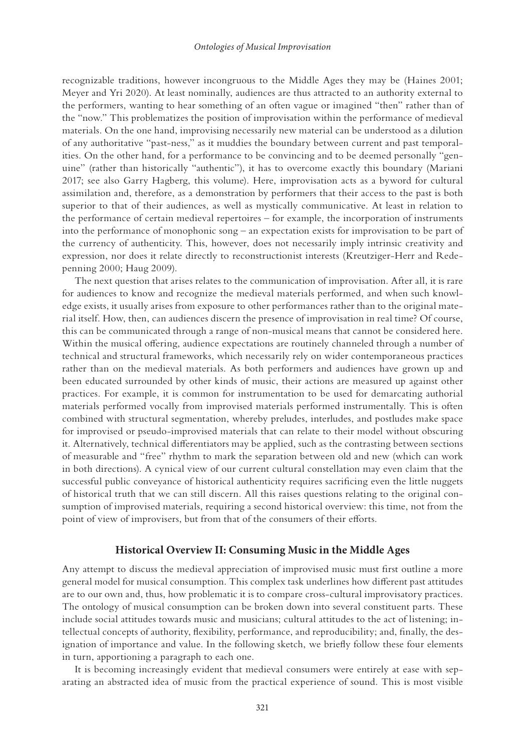recognizable traditions, however incongruous to the Middle Ages they may be (Haines 2001; Meyer and Yri 2020). At least nominally, audiences are thus attracted to an authority external to the performers, wanting to hear something of an often vague or imagined "then" rather than of the "now." This problematizes the position of improvisation within the performance of medieval materials. On the one hand, improvising necessarily new material can be understood as a dilution of any authoritative "past-ness," as it muddies the boundary between current and past temporalities. On the other hand, for a performance to be convincing and to be deemed personally "genuine" (rather than historically "authentic"), it has to overcome exactly this boundary (Mariani 2017; see also Garry Hagberg, this volume). Here, improvisation acts as a byword for cultural assimilation and, therefore, as a demonstration by performers that their access to the past is both superior to that of their audiences, as well as mystically communicative. At least in relation to the performance of certain medieval repertoires – for example, the incorporation of instruments into the performance of monophonic song – an expectation exists for improvisation to be part of the currency of authenticity. This, however, does not necessarily imply intrinsic creativity and expression, nor does it relate directly to reconstructionist interests (Kreutziger-Herr and Redepenning 2000; Haug 2009).

The next question that arises relates to the communication of improvisation. After all, it is rare for audiences to know and recognize the medieval materials performed, and when such knowledge exists, it usually arises from exposure to other performances rather than to the original material itself. How, then, can audiences discern the presence of improvisation in real time? Of course, this can be communicated through a range of non-musical means that cannot be considered here. Within the musical offering, audience expectations are routinely channeled through a number of technical and structural frameworks, which necessarily rely on wider contemporaneous practices rather than on the medieval materials. As both performers and audiences have grown up and been educated surrounded by other kinds of music, their actions are measured up against other practices. For example, it is common for instrumentation to be used for demarcating authorial materials performed vocally from improvised materials performed instrumentally. This is often combined with structural segmentation, whereby preludes, interludes, and postludes make space for improvised or pseudo-improvised materials that can relate to their model without obscuring it. Alternatively, technical differentiators may be applied, such as the contrasting between sections of measurable and "free" rhythm to mark the separation between old and new (which can work in both directions). A cynical view of our current cultural constellation may even claim that the successful public conveyance of historical authenticity requires sacrificing even the little nuggets of historical truth that we can still discern. All this raises questions relating to the original consumption of improvised materials, requiring a second historical overview: this time, not from the point of view of improvisers, but from that of the consumers of their efforts.

### **Historical Overview II: Consuming Music in the Middle Ages**

Any attempt to discuss the medieval appreciation of improvised music must first outline a more general model for musical consumption. This complex task underlines how different past attitudes are to our own and, thus, how problematic it is to compare cross-cultural improvisatory practices. The ontology of musical consumption can be broken down into several constituent parts. These include social attitudes towards music and musicians; cultural attitudes to the act of listening; intellectual concepts of authority, flexibility, performance, and reproducibility; and, finally, the designation of importance and value. In the following sketch, we briefly follow these four elements in turn, apportioning a paragraph to each one.

It is becoming increasingly evident that medieval consumers were entirely at ease with separating an abstracted idea of music from the practical experience of sound. This is most visible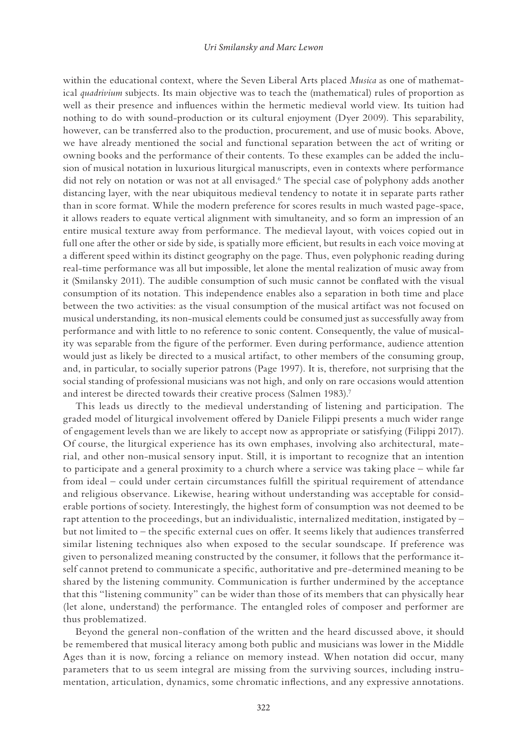<span id="page-8-0"></span>within the educational context, where the Seven Liberal Arts placed *Musica* as one of mathematical *quadrivium* subjects. Its main objective was to teach the (mathematical) rules of proportion as well as their presence and influences within the hermetic medieval world view. Its tuition had nothing to do with sound-production or its cultural enjoyment (Dyer 2009). This separability, however, can be transferred also to the production, procurement, and use of music books. Above, we have already mentioned the social and functional separation between the act of writing or owning books and the performance of their contents. To these examples can be added the inclusion of musical notation in luxurious liturgical manuscripts, even in contexts where performance did not rely on notation or was not at all envisaged.<sup>6</sup> The special case of polyphony adds another distancing layer, with the near ubiquitous medieval tendency to notate it in separate parts rather than in score format. While the modern preference for scores results in much wasted page-space, it allows readers to equate vertical alignment with simultaneity, and so form an impression of an entire musical texture away from performance. The medieval layout, with voices copied out in full one after the other or side by side, is spatially more efficient, but results in each voice moving at a different speed within its distinct geography on the page. Thus, even polyphonic reading during real-time performance was all but impossible, let alone the mental realization of music away from it (Smilansky 2011). The audible consumption of such music cannot be conflated with the visual consumption of its notation. This independence enables also a separation in both time and place between the two activities: as the visual consumption of the musical artifact was not focused on musical understanding, its non-musical elements could be consumed just as successfully away from performance and with little to no reference to sonic content. Consequently, the value of musicality was separable from the figure of the performer. Even during performance, audience attention would just as likely be directed to a musical artifact, to other members of the consuming group, and, in particular, to socially superior patrons (Page 1997). It is, therefore, not surprising that the social standing of professional musicians was not high, and only on rare occasions would attention and interest be directed towards their creative process (Salmen 1983).<sup>7</sup>

This leads us directly to the medieval understanding of listening and participation. The graded model of liturgical involvement offered by Daniele Filippi presents a much wider range of engagement levels than we are likely to accept now as appropriate or satisfying (Filippi 2017). Of course, the liturgical experience has its own emphases, involving also architectural, material, and other non-musical sensory input. Still, it is important to recognize that an intention to participate and a general proximity to a church where a service was taking place – while far from ideal – could under certain circumstances fulfill the spiritual requirement of attendance and religious observance. Likewise, hearing without understanding was acceptable for considerable portions of society. Interestingly, the highest form of consumption was not deemed to be rapt attention to the proceedings, but an individualistic, internalized meditation, instigated by – but not limited to – the specific external cues on offer. It seems likely that audiences transferred similar listening techniques also when exposed to the secular soundscape. If preference was given to personalized meaning constructed by the consumer, it follows that the performance itself cannot pretend to communicate a specific, authoritative and pre-determined meaning to be shared by the listening community. Communication is further undermined by the acceptance that this "listening community" can be wider than those of its members that can physically hear (let alone, understand) the performance. The entangled roles of composer and performer are thus problematized.

Beyond the general non-conflation of the written and the heard discussed above, it should be remembered that musical literacy among both public and musicians was lower in the Middle Ages than it is now, forcing a reliance on memory instead. When notation did occur, many parameters that to us seem integral are missing from the surviving sources, including instrumentation, articulation, dynamics, some chromatic inflections, and any expressive annotations.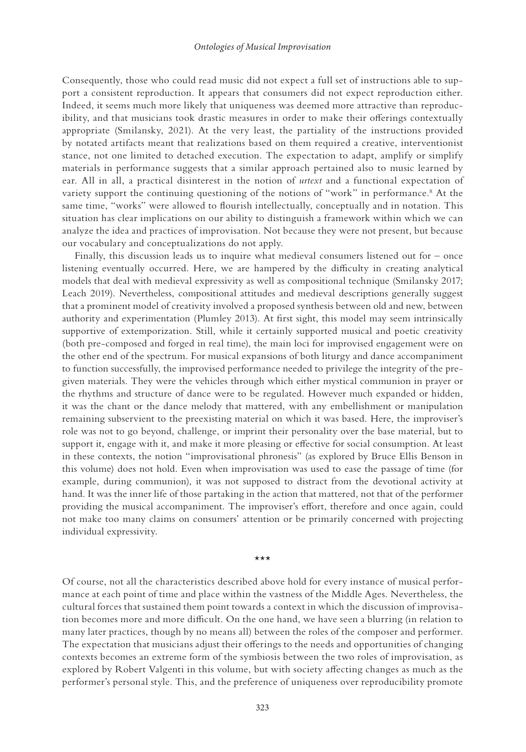<span id="page-9-0"></span>Consequently, those who could read music did not expect a full set of instructions able to support a consistent reproduction. It appears that consumers did not expect reproduction either. Indeed, it seems much more likely that uniqueness was deemed more attractive than reproducibility, and that musicians took drastic measures in order to make their offerings contextually appropriate (Smilansky, 2021). At the very least, the partiality of the instructions provided by notated artifacts meant that realizations based on them required a creative, interventionist stance, not one limited to detached execution. The expectation to adapt, amplify or simplify materials in performance suggests that a similar approach pertained also to music learned by ear. All in all, a practical disinterest in the notion of *urtext* and a functional expectation of variety support the continuing questioning of the notions of "work" in performance.<sup>8</sup> At the same time, "works" were allowed to flourish intellectually, conceptually and in notation. This situation has clear implications on our ability to distinguish a framework within which we can analyze the idea and practices of improvisation. Not because they were not present, but because our vocabulary and conceptualizations do not apply.

Finally, this discussion leads us to inquire what medieval consumers listened out for – once listening eventually occurred. Here, we are hampered by the difficulty in creating analytical models that deal with medieval expressivity as well as compositional technique (Smilansky 2017; Leach 2019). Nevertheless, compositional attitudes and medieval descriptions generally suggest that a prominent model of creativity involved a proposed synthesis between old and new, between authority and experimentation (Plumley 2013). At first sight, this model may seem intrinsically supportive of extemporization. Still, while it certainly supported musical and poetic creativity (both pre-composed and forged in real time), the main loci for improvised engagement were on the other end of the spectrum. For musical expansions of both liturgy and dance accompaniment to function successfully, the improvised performance needed to privilege the integrity of the pregiven materials. They were the vehicles through which either mystical communion in prayer or the rhythms and structure of dance were to be regulated. However much expanded or hidden, it was the chant or the dance melody that mattered, with any embellishment or manipulation remaining subservient to the preexisting material on which it was based. Here, the improviser's role was not to go beyond, challenge, or imprint their personality over the base material, but to support it, engage with it, and make it more pleasing or effective for social consumption. At least in these contexts, the notion "improvisational phronesis" (as explored by Bruce Ellis Benson in this volume) does not hold. Even when improvisation was used to ease the passage of time (for example, during communion), it was not supposed to distract from the devotional activity at hand. It was the inner life of those partaking in the action that mattered, not that of the performer providing the musical accompaniment. The improviser's effort, therefore and once again, could not make too many claims on consumers' attention or be primarily concerned with projecting individual expressivity.

\*\*\*

Of course, not all the characteristics described above hold for every instance of musical performance at each point of time and place within the vastness of the Middle Ages. Nevertheless, the cultural forces that sustained them point towards a context in which the discussion of improvisation becomes more and more difficult. On the one hand, we have seen a blurring (in relation to many later practices, though by no means all) between the roles of the composer and performer. The expectation that musicians adjust their offerings to the needs and opportunities of changing contexts becomes an extreme form of the symbiosis between the two roles of improvisation, as explored by Robert Valgenti in this volume, but with society affecting changes as much as the performer's personal style. This, and the preference of uniqueness over reproducibility promote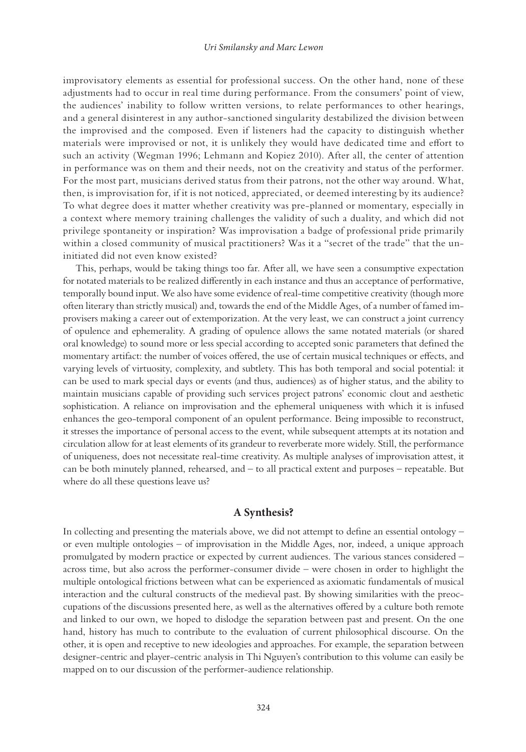improvisatory elements as essential for professional success. On the other hand, none of these adjustments had to occur in real time during performance. From the consumers' point of view, the audiences' inability to follow written versions, to relate performances to other hearings, and a general disinterest in any author-sanctioned singularity destabilized the division between the improvised and the composed. Even if listeners had the capacity to distinguish whether materials were improvised or not, it is unlikely they would have dedicated time and effort to such an activity (Wegman 1996; Lehmann and Kopiez 2010). After all, the center of attention in performance was on them and their needs, not on the creativity and status of the performer. For the most part, musicians derived status from their patrons, not the other way around. What, then, is improvisation for, if it is not noticed, appreciated, or deemed interesting by its audience? To what degree does it matter whether creativity was pre-planned or momentary, especially in a context where memory training challenges the validity of such a duality, and which did not privilege spontaneity or inspiration? Was improvisation a badge of professional pride primarily within a closed community of musical practitioners? Was it a "secret of the trade" that the uninitiated did not even know existed?

This, perhaps, would be taking things too far. After all, we have seen a consumptive expectation for notated materials to be realized differently in each instance and thus an acceptance of performative, temporally bound input. We also have some evidence of real-time competitive creativity (though more often literary than strictly musical) and, towards the end of the Middle Ages, of a number of famed improvisers making a career out of extemporization. At the very least, we can construct a joint currency of opulence and ephemerality. A grading of opulence allows the same notated materials (or shared oral knowledge) to sound more or less special according to accepted sonic parameters that defined the momentary artifact: the number of voices offered, the use of certain musical techniques or effects, and varying levels of virtuosity, complexity, and subtlety. This has both temporal and social potential: it can be used to mark special days or events (and thus, audiences) as of higher status, and the ability to maintain musicians capable of providing such services project patrons' economic clout and aesthetic sophistication. A reliance on improvisation and the ephemeral uniqueness with which it is infused enhances the geo-temporal component of an opulent performance. Being impossible to reconstruct, it stresses the importance of personal access to the event, while subsequent attempts at its notation and circulation allow for at least elements of its grandeur to reverberate more widely. Still, the performance of uniqueness, does not necessitate real-time creativity. As multiple analyses of improvisation attest, it can be both minutely planned, rehearsed, and – to all practical extent and purposes – repeatable. But where do all these questions leave us?

### **A Synthesis?**

In collecting and presenting the materials above, we did not attempt to define an essential ontology – or even multiple ontologies – of improvisation in the Middle Ages, nor, indeed, a unique approach promulgated by modern practice or expected by current audiences. The various stances considered – across time, but also across the performer-consumer divide – were chosen in order to highlight the multiple ontological frictions between what can be experienced as axiomatic fundamentals of musical interaction and the cultural constructs of the medieval past. By showing similarities with the preoccupations of the discussions presented here, as well as the alternatives offered by a culture both remote and linked to our own, we hoped to dislodge the separation between past and present. On the one hand, history has much to contribute to the evaluation of current philosophical discourse. On the other, it is open and receptive to new ideologies and approaches. For example, the separation between designer-centric and player-centric analysis in Thi Nguyen's contribution to this volume can easily be mapped on to our discussion of the performer-audience relationship.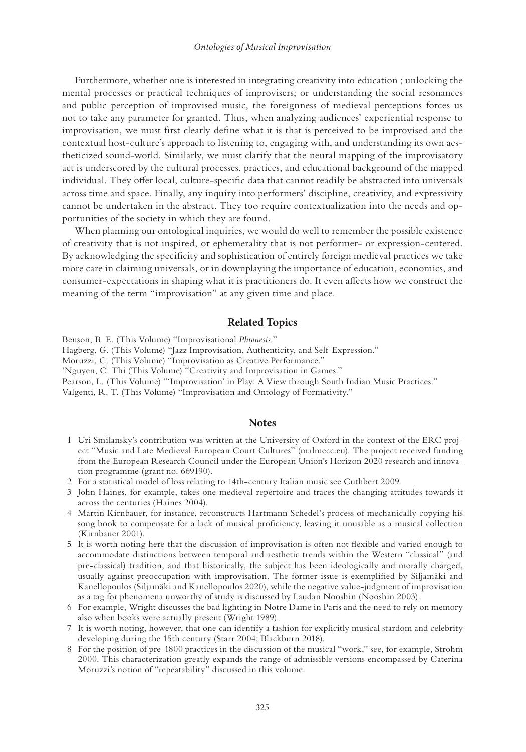<span id="page-11-0"></span>Furthermore, whether one is interested in integrating creativity into education ; unlocking the mental processes or practical techniques of improvisers; or understanding the social resonances and public perception of improvised music, the foreignness of medieval perceptions forces us not to take any parameter for granted. Thus, when analyzing audiences' experiential response to improvisation, we must first clearly define what it is that is perceived to be improvised and the contextual host-culture's approach to listening to, engaging with, and understanding its own aestheticized sound-world. Similarly, we must clarify that the neural mapping of the improvisatory act is underscored by the cultural processes, practices, and educational background of the mapped individual. They offer local, culture-specific data that cannot readily be abstracted into universals across time and space. Finally, any inquiry into performers' discipline, creativity, and expressivity cannot be undertaken in the abstract. They too require contextualization into the needs and opportunities of the society in which they are found.

When planning our ontological inquiries, we would do well to remember the possible existence of creativity that is not inspired, or ephemerality that is not performer- or expression-centered. By acknowledging the specificity and sophistication of entirely foreign medieval practices we take more care in claiming universals, or in downplaying the importance of education, economics, and consumer-expectations in shaping what it is practitioners do. It even affects how we construct the meaning of the term "improvisation" at any given time and place.

### **Related Topics**

Benson, B. E. (This Volume) "Improvisational *Phronesis.*"

Hagberg, G. (This Volume) "Jazz Improvisation, Authenticity, and Self-Expression."

Moruzzi, C. (This Volume) "Improvisation as Creative Performance."

'Nguyen, C. Thi (This Volume) "Creativity and Improvisation in Games."

Pearson, L. (This Volume) "'Improvisation' in Play: A View through South Indian Music Practices."

Valgenti, R. T. (This Volume) "Improvisation and Ontology of Formativity."

#### **Notes**

- [1](#page-1-0) Uri Smilansky's contribution was written at the University of Oxford in the context of the ERC project "Music and Late Medieval European Court Cultures" (malmecc.eu). The project received funding from the European Research Council under the European Union's Horizon 2020 research and innovation programme (grant no. 669190).
- [2](#page-1-0) For a statistical model of loss relating to 14th-century Italian music see Cuthbert 2009.
- [3](#page-2-0) John Haines, for example, takes one medieval repertoire and traces the changing attitudes towards it across the centuries (Haines 2004).
- [4](#page-2-0) Martin Kirnbauer, for instance, reconstructs Hartmann Schedel's process of mechanically copying his song book to compensate for a lack of musical proficiency, leaving it unusable as a musical collection (Kirnbauer 2001).
- [5](#page-6-0) It is worth noting here that the discussion of improvisation is often not flexible and varied enough to accommodate distinctions between temporal and aesthetic trends within the Western "classical" (and pre-classical) tradition, and that historically, the subject has been ideologically and morally charged, usually against preoccupation with improvisation. The former issue is exemplified by Siljamäki and Kanellopoulos (Siljamäki and Kanellopoulos 2020), while the negative value-judgment of improvisation as a tag for phenomena unworthy of study is discussed by Laudan Nooshin (Nooshin 2003).
- [6](#page-8-0) For example, Wright discusses the bad lighting in Notre Dame in Paris and the need to rely on memory also when books were actually present (Wright 1989).
- [7](#page-8-0) It is worth noting, however, that one can identify a fashion for explicitly musical stardom and celebrity developing during the 15th century (Starr 2004; Blackburn 2018).
- [8](#page-9-0) For the position of pre-1800 practices in the discussion of the musical "work," see, for example, Strohm 2000. This characterization greatly expands the range of admissible versions encompassed by Caterina Moruzzi's notion of "repeatability" discussed in this volume.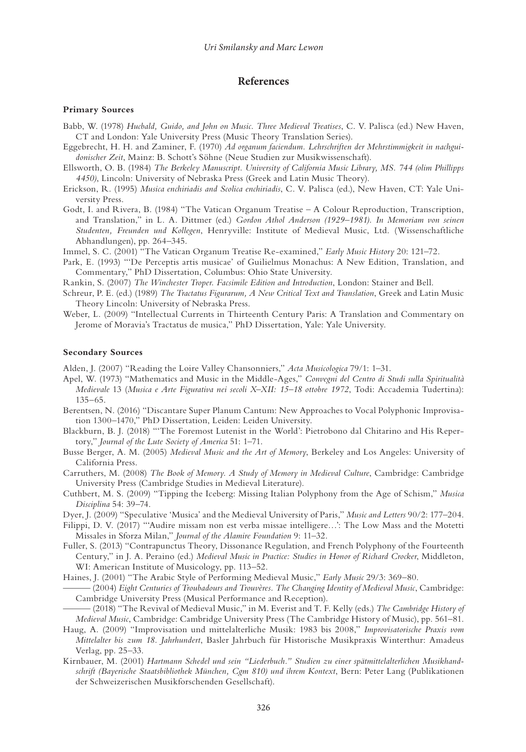### **References**

#### **Primary Sources**

- Babb, W. (1978) *Hucbald, Guido, and John on Music. Three Medieval Treatises*, C. V. Palisca (ed.) New Haven, CT and London: Yale University Press (Music Theory Translation Series).
- Eggebrecht, H. H. and Zaminer, F. (1970) *Ad organum faciendum. Lehrschriften der Mehrstimmigkeit in nachguidonischer Zeit*, Mainz: B. Schott's Söhne (Neue Studien zur Musikwissenschaft).
- Ellsworth, O. B. (1984) *The Berkeley Manuscript. University of California Music Library, MS. 744 (olim Phillipps 4450)*, Lincoln: University of Nebraska Press (Greek and Latin Music Theory).
- Erickson, R. (1995) *Musica enchiriadis and Scolica enchiriadis*, C. V. Palisca (ed.), New Haven, CT: Yale University Press.
- Godt, I. and Rivera, B. (1984) "The Vatican Organum Treatise A Colour Reproduction, Transcription, and Translation," in L. A. Dittmer (ed.) *Gordon Athol Anderson (1929*–*1981). In Memoriam von seinen Studenten, Freunden und Kollegen*, Henryville: Institute of Medieval Music, Ltd. (Wissenschaftliche Abhandlungen), pp. 264–345.

Immel, S. C. (2001) "The Vatican Organum Treatise Re-examined," *Early Music History* 20: 121–72.

- Park, E. (1993) "'De Perceptis artis musicae' of Guilielmus Monachus: A New Edition, Translation, and Commentary," PhD Dissertation, Columbus: Ohio State University.
- Rankin, S. (2007) *The Winchester Troper. Facsimile Edition and Introduction*, London: Stainer and Bell.
- Schreur, P. E. (ed.) (1989) *The Tractatus Figurarum, A New Critical Text and Translation*, Greek and Latin Music Theory Lincoln: University of Nebraska Press.
- Weber, L. (2009) "Intellectual Currents in Thirteenth Century Paris: A Translation and Commentary on Jerome of Moravia's Tractatus de musica," PhD Dissertation, Yale: Yale University.

#### **Secondary Sources**

Alden, J. (2007) "Reading the Loire Valley Chansonniers," *Acta Musicologica* 79/1: 1–31.

- Apel, W. (1973) "Mathematics and Music in the Middle-Ages," *Convegni del Centro di Studi sulla Spiritualità Medievale* 13 (*Musica e Arte Figurativa nei secoli X*–*XII: 15–18 ottobre 1972*, Todi: Accademia Tudertina): 135–65.
- Berentsen, N. (2016) "Discantare Super Planum Cantum: New Approaches to Vocal Polyphonic Improvisation 1300–1470," PhD Dissertation, Leiden: Leiden University.
- Blackburn, B. J. (2018) "'The Foremost Lutenist in the World': Pietrobono dal Chitarino and His Repertory," *Journal of the Lute Society of America* 51: 1–71.
- Busse Berger, A. M. (2005) *Medieval Music and the Art of Memory*, Berkeley and Los Angeles: University of California Press.
- Carruthers, M. (2008) *The Book of Memory. A Study of Memory in Medieval Culture*, Cambridge: Cambridge University Press (Cambridge Studies in Medieval Literature).
- Cuthbert, M. S. (2009) "Tipping the Iceberg: Missing Italian Polyphony from the Age of Schism," *Musica Disciplina* 54: 39–74.
- Dyer, J. (2009) "Speculative 'Musica' and the Medieval University of Paris," *Music and Letters* 90/2: 177–204.
- Filippi, D. V. (2017) "'Audire missam non est verba missae intelligere…': The Low Mass and the Motetti Missales in Sforza Milan," *Journal of the Alamire Foundation* 9: 11–32.
- Fuller, S. (2013) "Contrapunctus Theory, Dissonance Regulation, and French Polyphony of the Fourteenth Century," in J. A. Peraino (ed.) *Medieval Music in Practice: Studies in Honor of Richard Crocker*, Middleton, WI: American Institute of Musicology, pp. 113–52.
- Haines, J. (2001) "The Arabic Style of Performing Medieval Music," *Early Music* 29/3: 369–80.
- ——— (2004) *Eight Centuries of Troubadours and Trouvères. The Changing Identity of Medieval Music*, Cambridge: Cambridge University Press (Musical Performance and Reception).
- ——— (2018) "The Revival of Medieval Music," in M. Everist and T. F. Kelly (eds.) *The Cambridge History of Medieval Music*, Cambridge: Cambridge University Press (The Cambridge History of Music), pp. 561–81.
- Haug, A. (2009) "Improvisation und mittelalterliche Musik: 1983 bis 2008," *Improvisatorische Praxis vom Mittelalter bis zum 18. Jahrhundert*, Basler Jahrbuch für Historische Musikpraxis Winterthur: Amadeus Verlag, pp. 25–33.
- Kirnbauer, M. (2001) *Hartmann Schedel und sein "Liederbuch." Studien zu einer spätmittelalterlichen Musikhandschrift (Bayerische Staatsbibliothek München, Cgm 810) und ihrem Kontext*, Bern: Peter Lang (Publikationen der Schweizerischen Musikforschenden Gesellschaft).